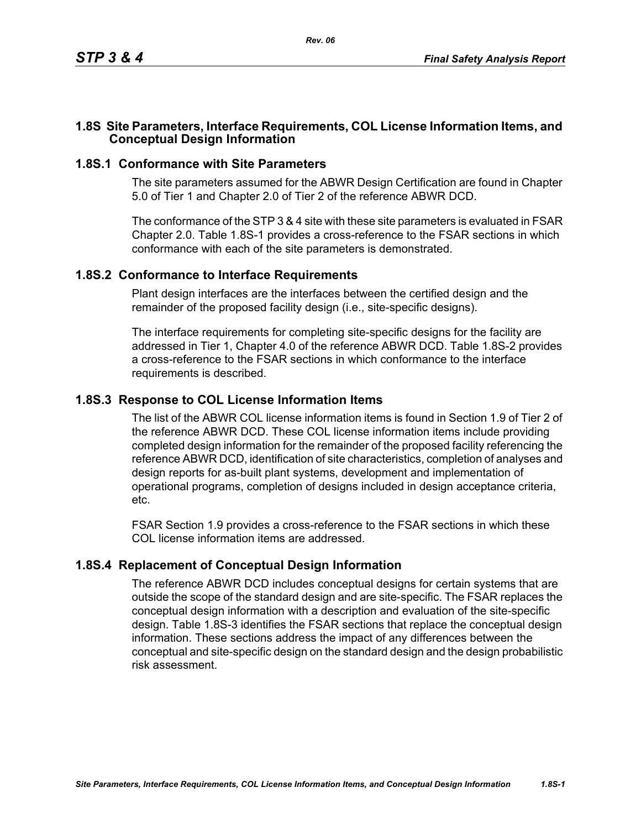### **1.8S Site Parameters, Interface Requirements, COL License Information Items, and Conceptual Design Information**

### **1.8S.1 Conformance with Site Parameters**

The site parameters assumed for the ABWR Design Certification are found in Chapter 5.0 of Tier 1 and Chapter 2.0 of Tier 2 of the reference ABWR DCD.

The conformance of the STP 3 & 4 site with these site parameters is evaluated in FSAR Chapter 2.0. Table [1.8S-1](#page-1-0) provides a cross-reference to the FSAR sections in which conformance with each of the site parameters is demonstrated.

#### **1.8S.2 Conformance to Interface Requirements**

Plant design interfaces are the interfaces between the certified design and the remainder of the proposed facility design (i.e., site-specific designs).

The interface requirements for completing site-specific designs for the facility are addressed in Tier 1, Chapter 4.0 of the reference ABWR DCD. Table [1.8S-2](#page-2-0) provides a cross-reference to the FSAR sections in which conformance to the interface requirements is described.

## **1.8S.3 Response to COL License Information Items**

The list of the ABWR COL license information items is found in Section 1.9 of Tier 2 of the reference ABWR DCD. These COL license information items include providing completed design information for the remainder of the proposed facility referencing the reference ABWR DCD, identification of site characteristics, completion of analyses and design reports for as-built plant systems, development and implementation of operational programs, completion of designs included in design acceptance criteria, etc.

FSAR Section 1.9 provides a cross-reference to the FSAR sections in which these COL license information items are addressed.

## **1.8S.4 Replacement of Conceptual Design Information**

The reference ABWR DCD includes conceptual designs for certain systems that are outside the scope of the standard design and are site-specific. The FSAR replaces the conceptual design information with a description and evaluation of the site-specific design. Table [1.8S-3](#page-3-0) identifies the FSAR sections that replace the conceptual design information. These sections address the impact of any differences between the conceptual and site-specific design on the standard design and the design probabilistic risk assessment.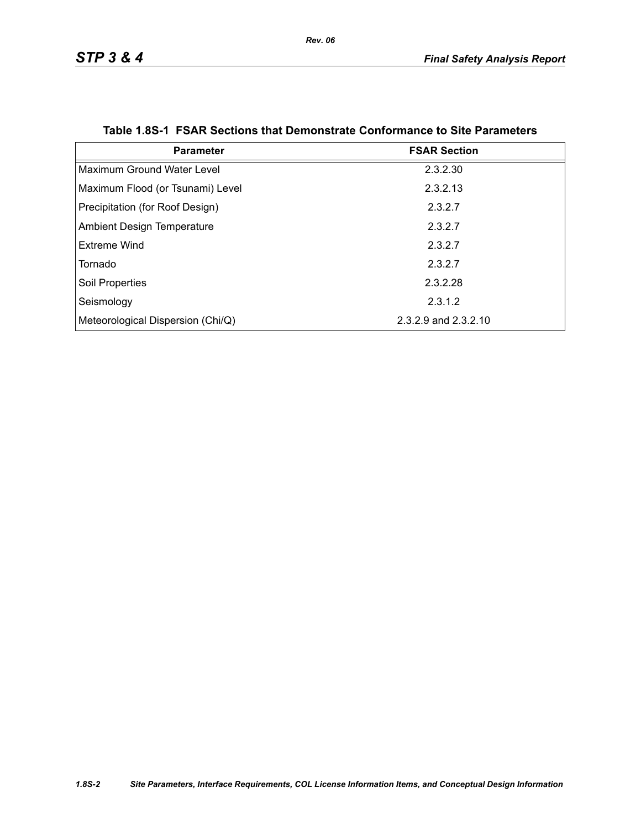<span id="page-1-0"></span>

| <b>Parameter</b>                  | <b>FSAR Section</b>  |
|-----------------------------------|----------------------|
| Maximum Ground Water Level        | 2.3.2.30             |
| Maximum Flood (or Tsunami) Level  | 2.3.2.13             |
| Precipitation (for Roof Design)   | 2.3.2.7              |
| <b>Ambient Design Temperature</b> | 2.3.2.7              |
| Extreme Wind                      | 2.3.2.7              |
| Tornado                           | 2.3.2.7              |
| <b>Soil Properties</b>            | 2.3.2.28             |
| Seismology                        | 2.3.1.2              |
| Meteorological Dispersion (Chi/Q) | 2.3.2.9 and 2.3.2.10 |

#### **Table 1.8S-1 FSAR Sections that Demonstrate Conformance to Site Parameters**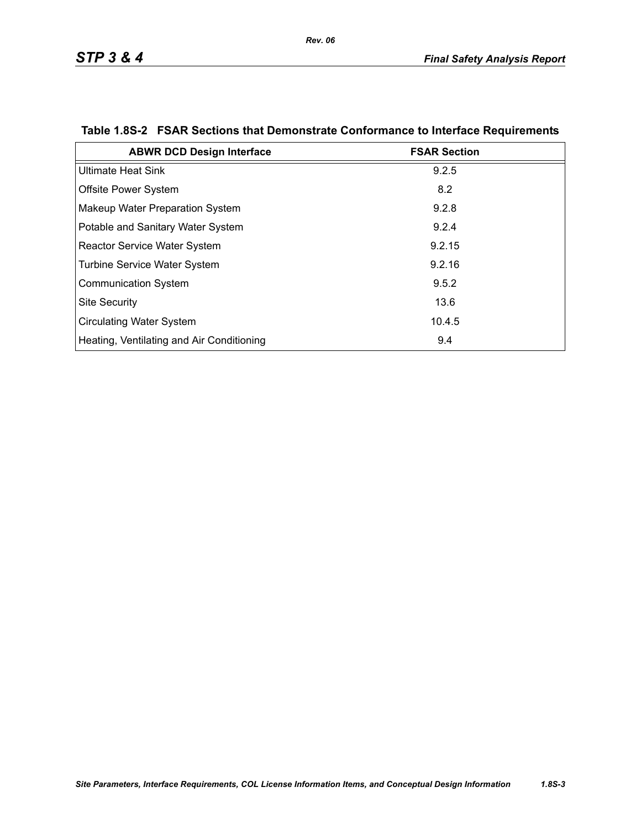| <b>ABWR DCD Design Interface</b>          | <b>FSAR Section</b> |
|-------------------------------------------|---------------------|
| <b>Ultimate Heat Sink</b>                 | 9.2.5               |
| Offsite Power System                      | 8.2                 |
| Makeup Water Preparation System           | 9.2.8               |
| Potable and Sanitary Water System         | 9.2.4               |
| <b>Reactor Service Water System</b>       | 9.2.15              |
| <b>Turbine Service Water System</b>       | 9.2.16              |
| <b>Communication System</b>               | 9.5.2               |
| <b>Site Security</b>                      | 13.6                |
| <b>Circulating Water System</b>           | 10.4.5              |
| Heating, Ventilating and Air Conditioning | 9.4                 |

# <span id="page-2-0"></span>**Table 1.8S-2 FSAR Sections that Demonstrate Conformance to Interface Requirements**